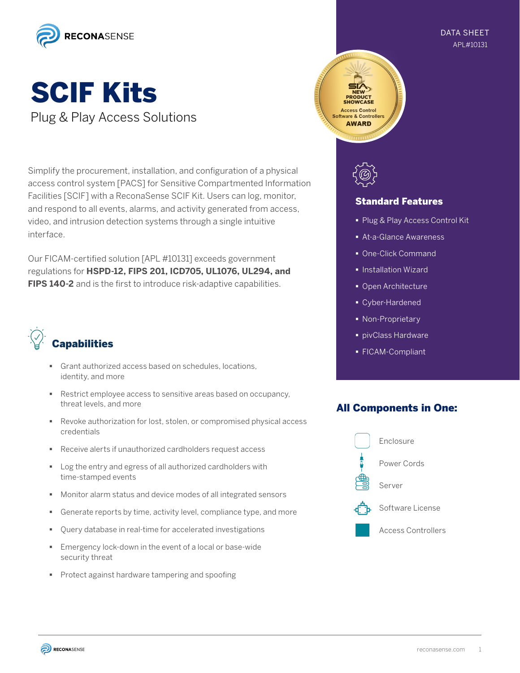

#### APL#10131 DATA SHEET

# SCIF Kits Plug & Play Access Solutions

Simplify the procurement, installation, and configuration of a physical access control system [PACS] for Sensitive Compartmented Information Facilities [SCIF] with a ReconaSense SCIF Kit. Users can log, monitor, and respond to all events, alarms, and activity generated from access, video, and intrusion detection systems through a single intuitive interface.

Our FICAM-certified solution [APL #10131] exceeds government regulations for **HSPD-12, FIPS 201, ICD705, UL1076, UL294, and FIPS 140-2** and is the first to introduce risk-adaptive capabilities.



- Grant authorized access based on schedules, locations, identity, and more
- Restrict employee access to sensitive areas based on occupancy, threat levels, and more
- Revoke authorization for lost, stolen, or compromised physical access credentials
- Receive alerts if unauthorized cardholders request access
- **Log the entry and egress of all authorized cardholders with** time-stamped events
- Monitor alarm status and device modes of all integrated sensors
- Generate reports by time, activity level, compliance type, and more
- Query database in real-time for accelerated investigations
- Emergency lock-down in the event of a local or base-wide security threat
- **Protect against hardware tampering and spoofing**





#### Standard Features

- § Plug & Play Access Control Kit
- § At-a-Glance Awareness
- One-Click Command
- § Installation Wizard
- § Open Architecture
- § Cyber-Hardened
- Non-Proprietary
- § pivClass Hardware
- § FICAM-Compliant

### All Components in One: